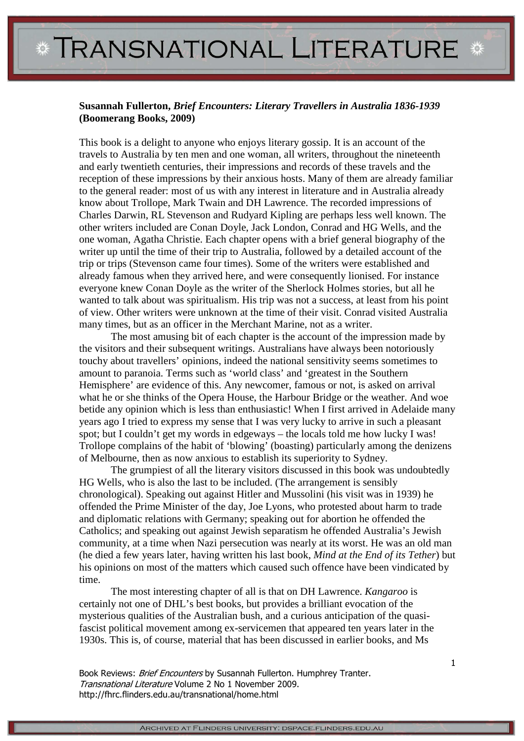## **\* TRANSNATIONAL LITERATURE \***

## **Susannah Fullerton,** *Brief Encounters: Literary Travellers in Australia 1836-1939* **(Boomerang Books, 2009)**

This book is a delight to anyone who enjoys literary gossip. It is an account of the travels to Australia by ten men and one woman, all writers, throughout the nineteenth and early twentieth centuries, their impressions and records of these travels and the reception of these impressions by their anxious hosts. Many of them are already familiar to the general reader: most of us with any interest in literature and in Australia already know about Trollope, Mark Twain and DH Lawrence. The recorded impressions of Charles Darwin, RL Stevenson and Rudyard Kipling are perhaps less well known. The other writers included are Conan Doyle, Jack London, Conrad and HG Wells, and the one woman, Agatha Christie. Each chapter opens with a brief general biography of the writer up until the time of their trip to Australia, followed by a detailed account of the trip or trips (Stevenson came four times). Some of the writers were established and already famous when they arrived here, and were consequently lionised. For instance everyone knew Conan Doyle as the writer of the Sherlock Holmes stories, but all he wanted to talk about was spiritualism. His trip was not a success, at least from his point of view. Other writers were unknown at the time of their visit. Conrad visited Australia many times, but as an officer in the Merchant Marine, not as a writer.

The most amusing bit of each chapter is the account of the impression made by the visitors and their subsequent writings. Australians have always been notoriously touchy about travellers' opinions, indeed the national sensitivity seems sometimes to amount to paranoia. Terms such as 'world class' and 'greatest in the Southern Hemisphere' are evidence of this. Any newcomer, famous or not, is asked on arrival what he or she thinks of the Opera House, the Harbour Bridge or the weather. And woe betide any opinion which is less than enthusiastic! When I first arrived in Adelaide many years ago I tried to express my sense that I was very lucky to arrive in such a pleasant spot; but I couldn't get my words in edgeways – the locals told me how lucky I was! Trollope complains of the habit of 'blowing' (boasting) particularly among the denizens of Melbourne, then as now anxious to establish its superiority to Sydney.

The grumpiest of all the literary visitors discussed in this book was undoubtedly HG Wells, who is also the last to be included. (The arrangement is sensibly chronological). Speaking out against Hitler and Mussolini (his visit was in 1939) he offended the Prime Minister of the day, Joe Lyons, who protested about harm to trade and diplomatic relations with Germany; speaking out for abortion he offended the Catholics; and speaking out against Jewish separatism he offended Australia's Jewish community, at a time when Nazi persecution was nearly at its worst. He was an old man (he died a few years later, having written his last book, *Mind at the End of its Tether*) but his opinions on most of the matters which caused such offence have been vindicated by time.

The most interesting chapter of all is that on DH Lawrence. *Kangaroo* is certainly not one of DHL's best books, but provides a brilliant evocation of the mysterious qualities of the Australian bush, and a curious anticipation of the quasifascist political movement among ex-servicemen that appeared ten years later in the 1930s. This is, of course, material that has been discussed in earlier books, and Ms

Book Reviews: Brief Encounters by Susannah Fullerton. Humphrey Tranter. Transnational Literature Volume 2 No 1 November 2009. http://fhrc.flinders.edu.au/transnational/home.html